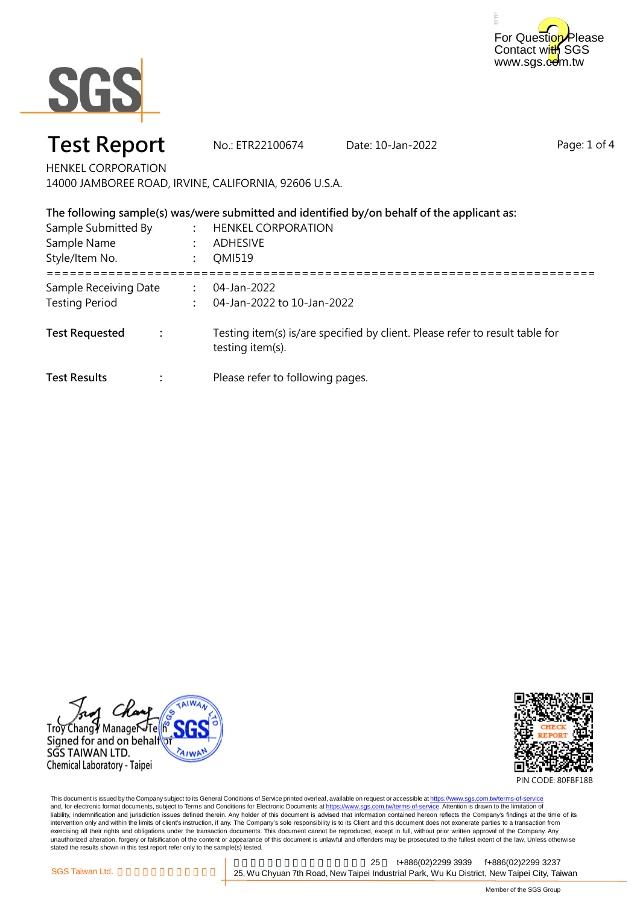



# **Test Report** No.: ETR22100674 Date: 10-Jan-2022

Page: 1 of 4

HENKEL CORPORATION

14000 JAMBOREE ROAD, IRVINE, CALIFORNIA, 92606 U.S.A.

|                                                |                | The following sample(s) was/were submitted and identified by/on behalf of the applicant as:      |
|------------------------------------------------|----------------|--------------------------------------------------------------------------------------------------|
| Sample Submitted By<br>Sample Name             |                | <b>HENKEL CORPORATION</b><br>ADHESIVE                                                            |
| Style/Item No.                                 |                | <b>OMI519</b>                                                                                    |
| Sample Receiving Date<br><b>Testing Period</b> | $\ddot{\cdot}$ | 04-Jan-2022<br>04-Jan-2022 to 10-Jan-2022                                                        |
| <b>Test Requested</b>                          |                | Testing item(s) is/are specified by client. Please refer to result table for<br>testing item(s). |
| <b>Test Results</b>                            |                | Please refer to following pages.                                                                 |





PIN CODE: 80FBF18B

This document is issued by the Company subject to its General Conditions of Service printed overleaf, available on request or accessible at <u>https://www.sgs.com.tw/terms-of-service</u><br>and, for electronic format documents, su liability, indemnification and jurisdiction issues defined therein. Any holder of this document is advised that information contained hereon reflects the Company's findings at the time of its intervention only and within the limits of client's instruction, if any. The Company's sole responsibility is to its Client and this document does not exonerate parties to a transaction from exercising all their rights and obligations under the transaction documents. This document cannot be reproduced, except in full, without prior written approval of the Company. Any<br>unauthorized alteration, forgery or falsif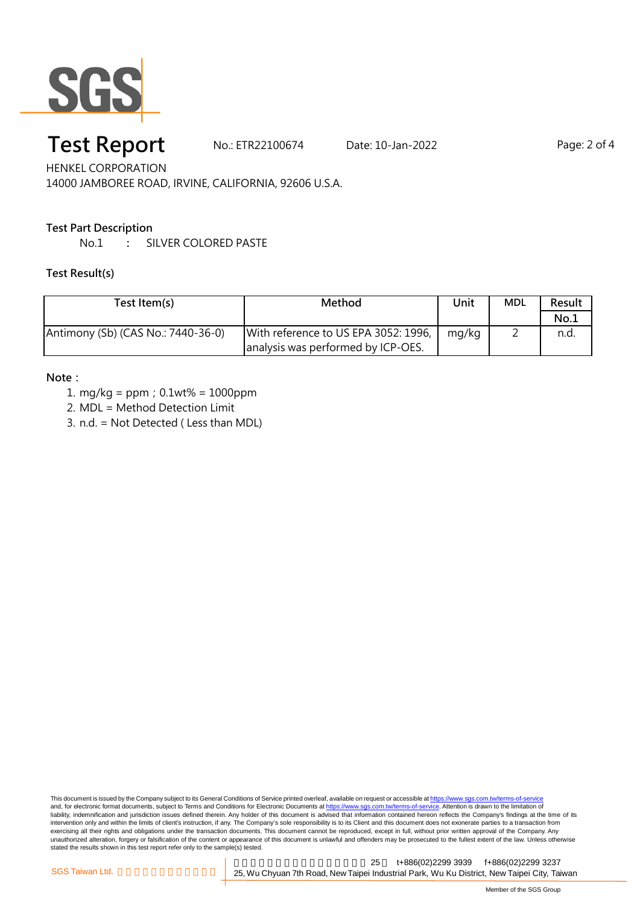

# **Test Report** No.: ETR22100674 Date: 10-Jan-2022 Page: 2 of 4

HENKEL CORPORATION 14000 JAMBOREE ROAD, IRVINE, CALIFORNIA, 92606 U.S.A.

### **Test Part Description**

No.1 **:** SILVER COLORED PASTE

#### **Test Result(s)**

| Test Item(s)                       | Method                                                                     | Unit  | <b>MDL</b> | Result |
|------------------------------------|----------------------------------------------------------------------------|-------|------------|--------|
|                                    |                                                                            |       |            | No.1   |
| Antimony (Sb) (CAS No.: 7440-36-0) | With reference to US EPA 3052: 1996,<br>analysis was performed by ICP-OES. | mg/kg |            | n.d.   |

#### **Note:**

- 1. mg/kg = ppm;0.1wt% = 1000ppm
- 2. MDL = Method Detection Limit
- 3. n.d. = Not Detected ( Less than MDL)

This document is issued by the Company subject to its General Conditions of Service printed overleaf, available on request or accessible at <u>https://www.sgs.com.tw/terms-of-service</u><br>and, for electronic format documents, su liability, indemnification and jurisdiction issues defined therein. Any holder of this document is advised that information contained hereon reflects the Company's findings at the time of its intervention only and within the limits of client's instruction, if any. The Company's sole responsibility is to its Client and this document does not exonerate parties to a transaction from exercising all their rights and obligations under the transaction documents. This document cannot be reproduced, except in full, without prior written approval of the Company. Any<br>unauthorized alteration, forgery or falsif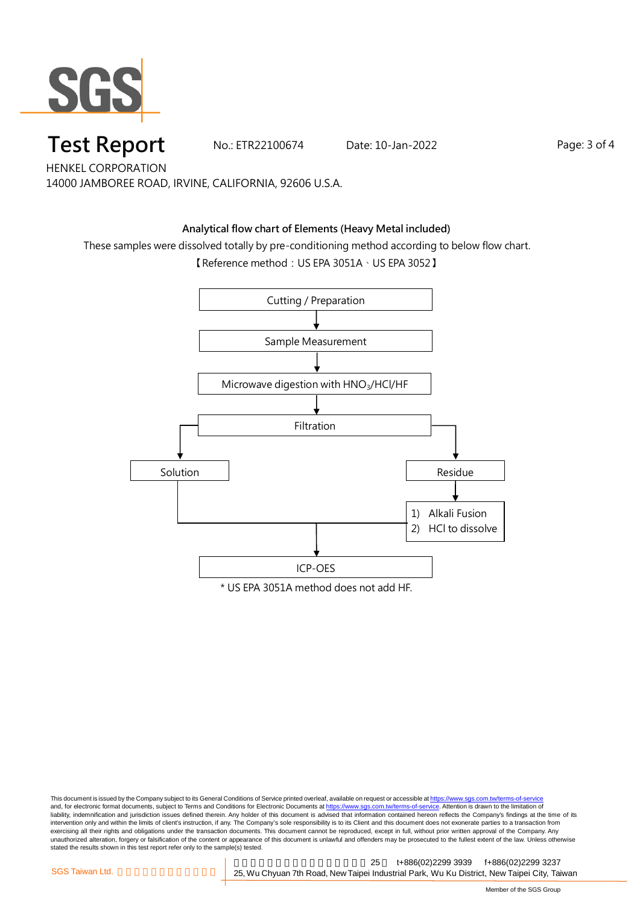

## **Test Report** Mo.: ETR22100674 Date: 10-Jan-2022 Page: 3 of 4

HENKEL CORPORATION 14000 JAMBOREE ROAD, IRVINE, CALIFORNIA, 92606 U.S.A.

### **Analytical flow chart of Elements (Heavy Metal included)**

These samples were dissolved totally by pre-conditioning method according to below flow chart.

【Reference method: US EPA 3051A、US EPA 3052】



This document is issued by the Company subject to its General Conditions of Service printed overleaf, available on request or accessible at <u>https://www.sgs.com.tw/terms-of-service</u><br>and, for electronic format documents, su liability, indemnification and jurisdiction issues defined therein. Any holder of this document is advised that information contained hereon reflects the Company's findings at the time of its intervention only and within the limits of client's instruction, if any. The Company's sole responsibility is to its Client and this document does not exonerate parties to a transaction from exercising all their rights and obligations under the transaction documents. This document cannot be reproduced, except in full, without prior written approval of the Company. Any<br>unauthorized alteration, forgery or falsif